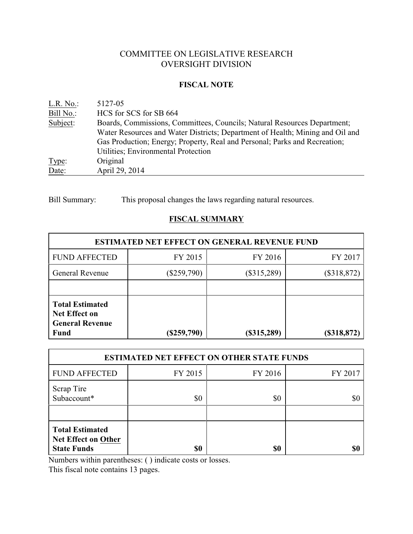# COMMITTEE ON LEGISLATIVE RESEARCH OVERSIGHT DIVISION

#### **FISCAL NOTE**

| L.R. No.  | 5127-05                                                                       |
|-----------|-------------------------------------------------------------------------------|
| Bill No.: | HCS for SCS for SB 664                                                        |
| Subject:  | Boards, Commissions, Committees, Councils; Natural Resources Department;      |
|           | Water Resources and Water Districts; Department of Health; Mining and Oil and |
|           | Gas Production; Energy; Property, Real and Personal; Parks and Recreation;    |
|           | Utilities; Environmental Protection                                           |
| Type:     | Original                                                                      |
| Date:     | April 29, 2014                                                                |

Bill Summary: This proposal changes the laws regarding natural resources.

## **FISCAL SUMMARY**

| <b>ESTIMATED NET EFFECT ON GENERAL REVENUE FUND</b>                                     |               |               |               |  |  |
|-----------------------------------------------------------------------------------------|---------------|---------------|---------------|--|--|
| <b>FUND AFFECTED</b>                                                                    | FY 2015       | FY 2016       | FY 2017       |  |  |
| <b>General Revenue</b>                                                                  | $(\$259,790)$ | $(\$315,289)$ | $(\$318,872)$ |  |  |
|                                                                                         |               |               |               |  |  |
| <b>Total Estimated</b><br><b>Net Effect on</b><br><b>General Revenue</b><br><b>Fund</b> | $(\$259,790)$ | (\$315,289)   | $(\$318,872)$ |  |  |

| <b>ESTIMATED NET EFFECT ON OTHER STATE FUNDS</b>                           |         |         |         |  |  |
|----------------------------------------------------------------------------|---------|---------|---------|--|--|
| <b>FUND AFFECTED</b>                                                       | FY 2015 | FY 2016 | FY 2017 |  |  |
| Scrap Tire<br>Subaccount*                                                  | \$0     | \$0     | \$0     |  |  |
| <b>Total Estimated</b><br><b>Net Effect on Other</b><br><b>State Funds</b> | \$0     | \$0     | \$ſ     |  |  |

Numbers within parentheses: ( ) indicate costs or losses.

This fiscal note contains 13 pages.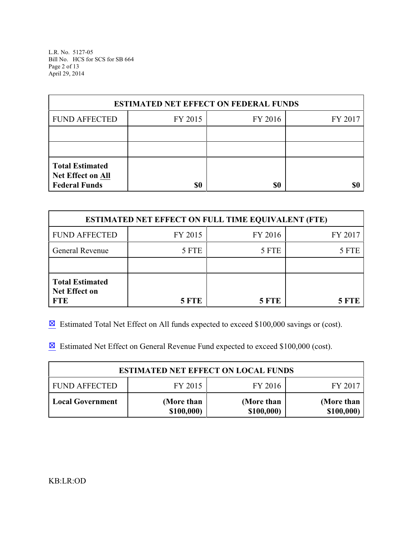L.R. No. 5127-05 Bill No. HCS for SCS for SB 664 Page 2 of 13 April 29, 2014

| <b>ESTIMATED NET EFFECT ON FEDERAL FUNDS</b>                        |         |         |         |  |  |
|---------------------------------------------------------------------|---------|---------|---------|--|--|
| <b>FUND AFFECTED</b>                                                | FY 2015 | FY 2016 | FY 2017 |  |  |
|                                                                     |         |         |         |  |  |
|                                                                     |         |         |         |  |  |
| <b>Total Estimated</b><br>Net Effect on All<br><b>Federal Funds</b> | \$0     | \$0     |         |  |  |

| <b>ESTIMATED NET EFFECT ON FULL TIME EQUIVALENT (FTE)</b>    |              |         |         |  |  |
|--------------------------------------------------------------|--------------|---------|---------|--|--|
| <b>FUND AFFECTED</b>                                         | FY 2015      | FY 2016 | FY 2017 |  |  |
| <b>General Revenue</b>                                       | 5 FTE        | 5 FTE   | 5 FTE   |  |  |
|                                                              |              |         |         |  |  |
| <b>Total Estimated</b><br><b>Net Effect on</b><br><b>FTE</b> | <b>5 FTE</b> | 5 FTE   | 5 FTE   |  |  |

 $\boxtimes$  Estimated Total Net Effect on All funds expected to exceed \$100,000 savings or (cost).

**Estimated Net Effect on General Revenue Fund expected to exceed \$100,000 (cost).** 

| <b>ESTIMATED NET EFFECT ON LOCAL FUNDS</b>            |                          |                          |                          |  |  |
|-------------------------------------------------------|--------------------------|--------------------------|--------------------------|--|--|
| FY 2015<br>FY 2016<br><b>FUND AFFECTED</b><br>FY 2017 |                          |                          |                          |  |  |
| <b>Local Government</b>                               | (More than<br>\$100,000) | (More than<br>\$100,000) | (More than<br>\$100,000) |  |  |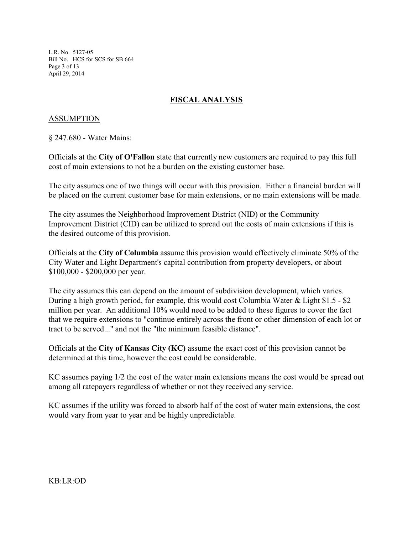L.R. No. 5127-05 Bill No. HCS for SCS for SB 664 Page 3 of 13 April 29, 2014

## **FISCAL ANALYSIS**

## ASSUMPTION

#### § 247.680 - Water Mains:

Officials at the **City of O'Fallon** state that currently new customers are required to pay this full cost of main extensions to not be a burden on the existing customer base.

The city assumes one of two things will occur with this provision. Either a financial burden will be placed on the current customer base for main extensions, or no main extensions will be made.

The city assumes the Neighborhood Improvement District (NID) or the Community Improvement District (CID) can be utilized to spread out the costs of main extensions if this is the desired outcome of this provision.

Officials at the **City of Columbia** assume this provision would effectively eliminate 50% of the City Water and Light Department's capital contribution from property developers, or about \$100,000 - \$200,000 per year.

The city assumes this can depend on the amount of subdivision development, which varies. During a high growth period, for example, this would cost Columbia Water & Light \$1.5 - \$2 million per year. An additional 10% would need to be added to these figures to cover the fact that we require extensions to "continue entirely across the front or other dimension of each lot or tract to be served..." and not the "the minimum feasible distance".

Officials at the **City of Kansas City (KC)** assume the exact cost of this provision cannot be determined at this time, however the cost could be considerable.

KC assumes paying 1/2 the cost of the water main extensions means the cost would be spread out among all ratepayers regardless of whether or not they received any service.

KC assumes if the utility was forced to absorb half of the cost of water main extensions, the cost would vary from year to year and be highly unpredictable.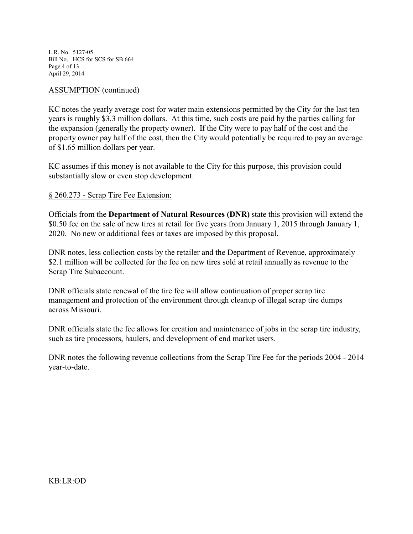L.R. No. 5127-05 Bill No. HCS for SCS for SB 664 Page 4 of 13 April 29, 2014

## ASSUMPTION (continued)

KC notes the yearly average cost for water main extensions permitted by the City for the last ten years is roughly \$3.3 million dollars. At this time, such costs are paid by the parties calling for the expansion (generally the property owner). If the City were to pay half of the cost and the property owner pay half of the cost, then the City would potentially be required to pay an average of \$1.65 million dollars per year.

KC assumes if this money is not available to the City for this purpose, this provision could substantially slow or even stop development.

## § 260.273 - Scrap Tire Fee Extension:

Officials from the **Department of Natural Resources (DNR)** state this provision will extend the \$0.50 fee on the sale of new tires at retail for five years from January 1, 2015 through January 1, 2020. No new or additional fees or taxes are imposed by this proposal.

DNR notes, less collection costs by the retailer and the Department of Revenue, approximately \$2.1 million will be collected for the fee on new tires sold at retail annually as revenue to the Scrap Tire Subaccount.

DNR officials state renewal of the tire fee will allow continuation of proper scrap tire management and protection of the environment through cleanup of illegal scrap tire dumps across Missouri.

DNR officials state the fee allows for creation and maintenance of jobs in the scrap tire industry, such as tire processors, haulers, and development of end market users.

DNR notes the following revenue collections from the Scrap Tire Fee for the periods 2004 - 2014 year-to-date.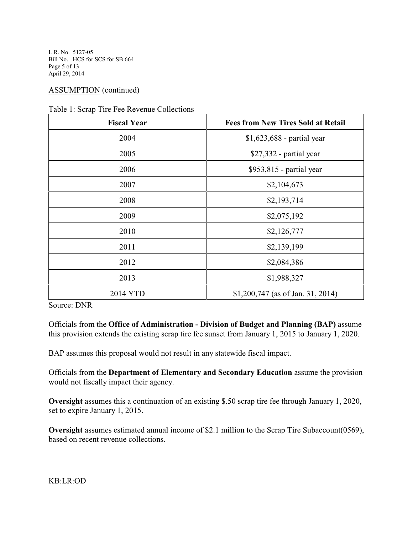L.R. No. 5127-05 Bill No. HCS for SCS for SB 664 Page 5 of 13 April 29, 2014

## ASSUMPTION (continued)

| <b>Fiscal Year</b><br><b>Fees from New Tires Sold at Retail</b> |                                    |  |
|-----------------------------------------------------------------|------------------------------------|--|
| 2004                                                            | $$1,623,688$ - partial year        |  |
| 2005                                                            | $$27,332$ - partial year           |  |
| 2006                                                            | \$953,815 - partial year           |  |
| 2007                                                            | \$2,104,673                        |  |
| 2008                                                            | \$2,193,714                        |  |
| 2009                                                            | \$2,075,192                        |  |
| 2010                                                            | \$2,126,777                        |  |
| 2011                                                            | \$2,139,199                        |  |
| 2012                                                            | \$2,084,386                        |  |
| 2013                                                            | \$1,988,327                        |  |
| 2014 YTD                                                        | $$1,200,747$ (as of Jan. 31, 2014) |  |

Table 1: Scrap Tire Fee Revenue Collections

Source: DNR

Officials from the **Office of Administration - Division of Budget and Planning (BAP)** assume this provision extends the existing scrap tire fee sunset from January 1, 2015 to January 1, 2020.

BAP assumes this proposal would not result in any statewide fiscal impact.

Officials from the **Department of Elementary and Secondary Education** assume the provision would not fiscally impact their agency.

**Oversight** assumes this a continuation of an existing \$.50 scrap tire fee through January 1, 2020, set to expire January 1, 2015.

**Oversight** assumes estimated annual income of \$2.1 million to the Scrap Tire Subaccount(0569), based on recent revenue collections.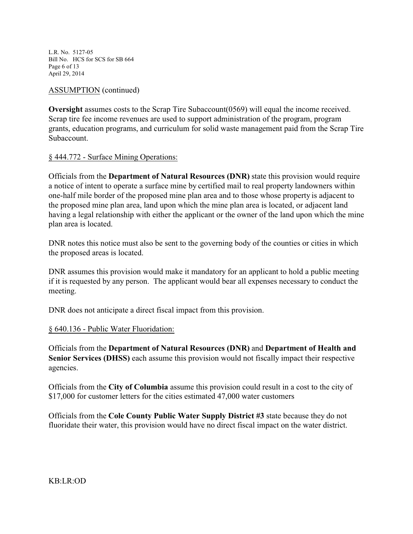L.R. No. 5127-05 Bill No. HCS for SCS for SB 664 Page 6 of 13 April 29, 2014

## ASSUMPTION (continued)

**Oversight** assumes costs to the Scrap Tire Subaccount (0569) will equal the income received. Scrap tire fee income revenues are used to support administration of the program, program grants, education programs, and curriculum for solid waste management paid from the Scrap Tire Subaccount.

## § 444.772 - Surface Mining Operations:

Officials from the **Department of Natural Resources (DNR)** state this provision would require a notice of intent to operate a surface mine by certified mail to real property landowners within one-half mile border of the proposed mine plan area and to those whose property is adjacent to the proposed mine plan area, land upon which the mine plan area is located, or adjacent land having a legal relationship with either the applicant or the owner of the land upon which the mine plan area is located.

DNR notes this notice must also be sent to the governing body of the counties or cities in which the proposed areas is located.

DNR assumes this provision would make it mandatory for an applicant to hold a public meeting if it is requested by any person. The applicant would bear all expenses necessary to conduct the meeting.

DNR does not anticipate a direct fiscal impact from this provision.

## § 640.136 - Public Water Fluoridation:

Officials from the **Department of Natural Resources (DNR)** and **Department of Health and Senior Services (DHSS)** each assume this provision would not fiscally impact their respective agencies.

Officials from the **City of Columbia** assume this provision could result in a cost to the city of \$17,000 for customer letters for the cities estimated 47,000 water customers

Officials from the **Cole County Public Water Supply District #3** state because they do not fluoridate their water, this provision would have no direct fiscal impact on the water district.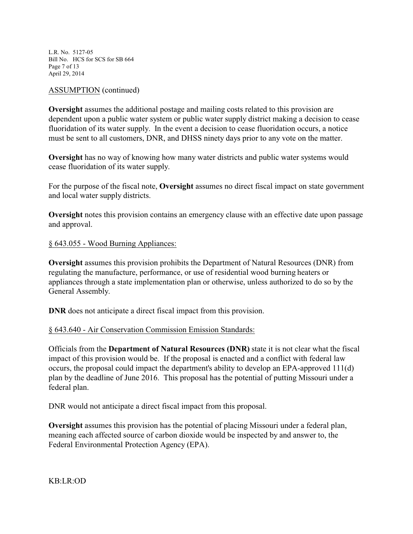L.R. No. 5127-05 Bill No. HCS for SCS for SB 664 Page 7 of 13 April 29, 2014

#### ASSUMPTION (continued)

**Oversight** assumes the additional postage and mailing costs related to this provision are dependent upon a public water system or public water supply district making a decision to cease fluoridation of its water supply. In the event a decision to cease fluoridation occurs, a notice must be sent to all customers, DNR, and DHSS ninety days prior to any vote on the matter.

**Oversight** has no way of knowing how many water districts and public water systems would cease fluoridation of its water supply.

For the purpose of the fiscal note, **Oversight** assumes no direct fiscal impact on state government and local water supply districts.

**Oversight** notes this provision contains an emergency clause with an effective date upon passage and approval.

#### § 643.055 - Wood Burning Appliances:

**Oversight** assumes this provision prohibits the Department of Natural Resources (DNR) from regulating the manufacture, performance, or use of residential wood burning heaters or appliances through a state implementation plan or otherwise, unless authorized to do so by the General Assembly.

**DNR** does not anticipate a direct fiscal impact from this provision.

#### § 643.640 - Air Conservation Commission Emission Standards:

Officials from the **Department of Natural Resources (DNR)** state it is not clear what the fiscal impact of this provision would be. If the proposal is enacted and a conflict with federal law occurs, the proposal could impact the department's ability to develop an EPA-approved 111(d) plan by the deadline of June 2016. This proposal has the potential of putting Missouri under a federal plan.

DNR would not anticipate a direct fiscal impact from this proposal.

**Oversight** assumes this provision has the potential of placing Missouri under a federal plan, meaning each affected source of carbon dioxide would be inspected by and answer to, the Federal Environmental Protection Agency (EPA).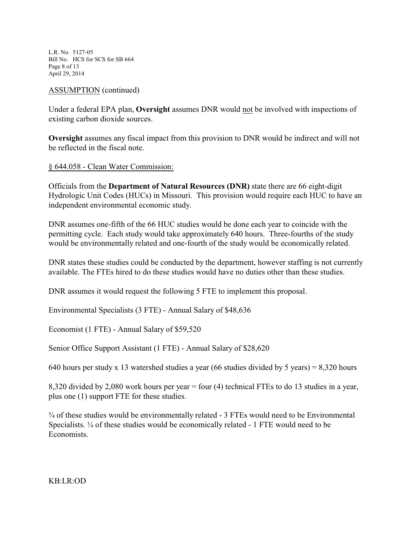L.R. No. 5127-05 Bill No. HCS for SCS for SB 664 Page 8 of 13 April 29, 2014

## ASSUMPTION (continued)

Under a federal EPA plan, **Oversight** assumes DNR would not be involved with inspections of existing carbon dioxide sources.

**Oversight** assumes any fiscal impact from this provision to DNR would be indirect and will not be reflected in the fiscal note.

§ 644.058 - Clean Water Commission:

Officials from the **Department of Natural Resources (DNR)** state there are 66 eight-digit Hydrologic Unit Codes (HUCs) in Missouri. This provision would require each HUC to have an independent environmental economic study.

DNR assumes one-fifth of the 66 HUC studies would be done each year to coincide with the permitting cycle. Each study would take approximately 640 hours. Three-fourths of the study would be environmentally related and one-fourth of the study would be economically related.

DNR states these studies could be conducted by the department, however staffing is not currently available. The FTEs hired to do these studies would have no duties other than these studies.

DNR assumes it would request the following 5 FTE to implement this proposal.

Environmental Specialists (3 FTE) - Annual Salary of \$48,636

Economist (1 FTE) - Annual Salary of \$59,520

Senior Office Support Assistant (1 FTE) - Annual Salary of \$28,620

640 hours per study x 13 watershed studies a year (66 studies divided by 5 years) = 8,320 hours

8,320 divided by 2,080 work hours per year = four (4) technical FTEs to do 13 studies in a year, plus one (1) support FTE for these studies.

¾ of these studies would be environmentally related - 3 FTEs would need to be Environmental Specialists. ¼ of these studies would be economically related - 1 FTE would need to be Economists.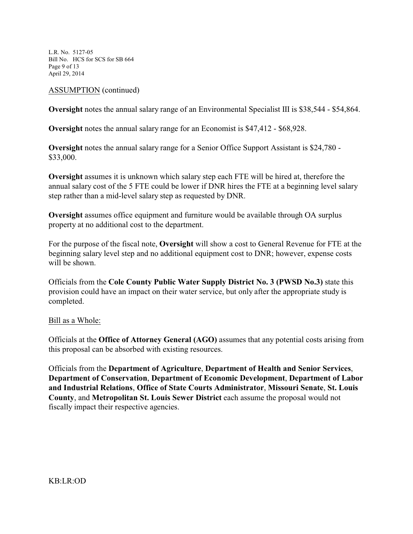L.R. No. 5127-05 Bill No. HCS for SCS for SB 664 Page 9 of 13 April 29, 2014

#### ASSUMPTION (continued)

**Oversight** notes the annual salary range of an Environmental Specialist III is \$38,544 - \$54,864.

**Oversight** notes the annual salary range for an Economist is \$47,412 - \$68,928.

**Oversight** notes the annual salary range for a Senior Office Support Assistant is \$24,780 - \$33,000.

**Oversight** assumes it is unknown which salary step each FTE will be hired at, therefore the annual salary cost of the 5 FTE could be lower if DNR hires the FTE at a beginning level salary step rather than a mid-level salary step as requested by DNR.

**Oversight** assumes office equipment and furniture would be available through OA surplus property at no additional cost to the department.

For the purpose of the fiscal note, **Oversight** will show a cost to General Revenue for FTE at the beginning salary level step and no additional equipment cost to DNR; however, expense costs will be shown.

Officials from the **Cole County Public Water Supply District No. 3 (PWSD No.3)** state this provision could have an impact on their water service, but only after the appropriate study is completed.

#### Bill as a Whole:

Officials at the **Office of Attorney General (AGO)** assumes that any potential costs arising from this proposal can be absorbed with existing resources.

Officials from the **Department of Agriculture**, **Department of Health and Senior Services**, **Department of Conservation**, **Department of Economic Development**, **Department of Labor and Industrial Relations**, **Office of State Courts Administrator**, **Missouri Senate**, **St. Louis County**, and **Metropolitan St. Louis Sewer District** each assume the proposal would not fiscally impact their respective agencies.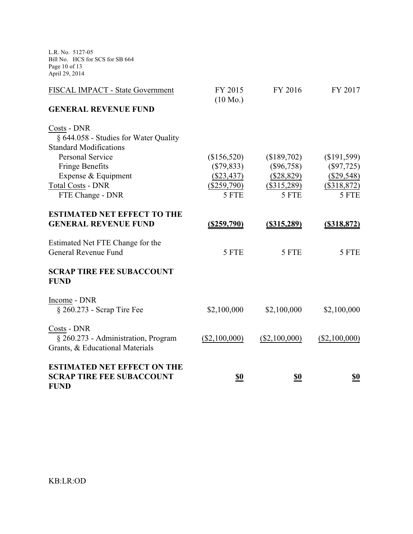L.R. No. 5127-05 Bill No. HCS for SCS for SB 664 Page 10 of 13 April 29, 2014

| FISCAL IMPACT - State Government                | FY 2015<br>$(10 \text{ Mo.})$ | FY 2016        | FY 2017        |
|-------------------------------------------------|-------------------------------|----------------|----------------|
| <b>GENERAL REVENUE FUND</b>                     |                               |                |                |
| Costs - DNR                                     |                               |                |                |
| § 644.058 - Studies for Water Quality           |                               |                |                |
| <b>Standard Modifications</b>                   |                               |                |                |
| <b>Personal Service</b>                         | (\$156,520)                   | (\$189,702)    | (\$191,599)    |
| <b>Fringe Benefits</b>                          | $(\$79,833)$                  | $(\$96,758)$   | $(\$97,725)$   |
| Expense & Equipment                             | $(\$23,437)$                  | (\$28,829)     | $(\$29,548)$   |
| <b>Total Costs - DNR</b>                        | $(\$259,790)$                 | $(\$315,289)$  | $(\$318,872)$  |
| FTE Change - DNR                                | 5 FTE                         | 5 FTE          | 5 FTE          |
| <b>ESTIMATED NET EFFECT TO THE</b>              |                               |                |                |
| <b>GENERAL REVENUE FUND</b>                     | <u>(\$259,790)</u>            | $($ \$315,289) | $($ \$318,872) |
| Estimated Net FTE Change for the                |                               |                |                |
| General Revenue Fund                            | 5 FTE                         | 5 FTE          | 5 FTE          |
| <b>SCRAP TIRE FEE SUBACCOUNT</b><br><b>FUND</b> |                               |                |                |
| Income - DNR                                    |                               |                |                |
| $\S 260.273$ - Scrap Tire Fee                   | \$2,100,000                   | \$2,100,000    | \$2,100,000    |
| Costs - DNR                                     |                               |                |                |
| § 260.273 - Administration, Program             | (\$2,100,000)                 | (\$2,100,000)  | (\$2,100,000)  |
| Grants, & Educational Materials                 |                               |                |                |
| <b>ESTIMATED NET EFFECT ON THE</b>              |                               |                |                |
| <b>SCRAP TIRE FEE SUBACCOUNT</b><br><b>FUND</b> | \$0                           | <u>\$0</u>     | <u>\$0</u>     |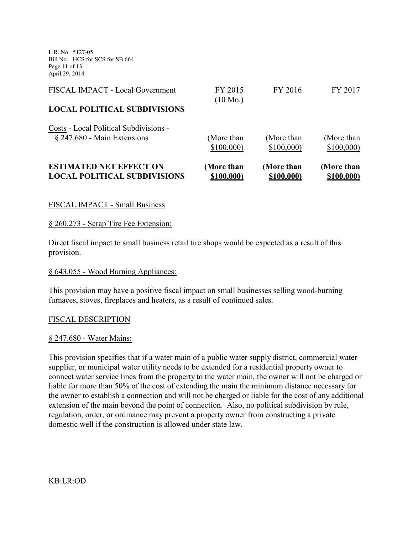L.R. No. 5127-05 Bill No. HCS for SCS for SB 664 Page 11 of 13 April 29, 2014

| <b>ESTIMATED NET EFFECT ON</b>         | (More than         | (More than | (More than |
|----------------------------------------|--------------------|------------|------------|
| <b>LOCAL POLITICAL SUBDIVISIONS</b>    | \$100,000)         | \$100,000) | \$100,000) |
| Costs - Local Political Subdivisions - | (More than         | (More than | (More than |
| § 247.680 - Main Extensions            | \$100,000          | \$100,000  | \$100,000  |
| <b>LOCAL POLITICAL SUBDIVISIONS</b>    | $(10 \text{ Mo.})$ |            |            |
| FISCAL IMPACT - Local Government       | FY 2015            | FY 2016    | FY 2017    |

#### FISCAL IMPACT - Small Business

#### § 260.273 - Scrap Tire Fee Extension:

Direct fiscal impact to small business retail tire shops would be expected as a result of this provision.

#### § 643.055 - Wood Burning Appliances:

This provision may have a positive fiscal impact on small businesses selling wood-burning furnaces, stoves, fireplaces and heaters, as a result of continued sales.

#### FISCAL DESCRIPTION

#### § 247.680 - Water Mains:

This provision specifies that if a water main of a public water supply district, commercial water supplier, or municipal water utility needs to be extended for a residential property owner to connect water service lines from the property to the water main, the owner will not be charged or liable for more than 50% of the cost of extending the main the minimum distance necessary for the owner to establish a connection and will not be charged or liable for the cost of any additional extension of the main beyond the point of connection. Also, no political subdivision by rule, regulation, order, or ordinance may prevent a property owner from constructing a private domestic well if the construction is allowed under state law.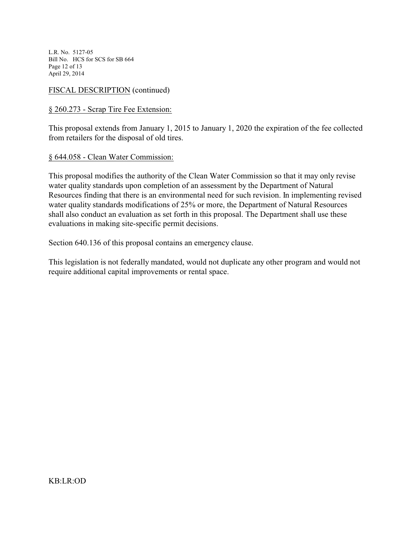L.R. No. 5127-05 Bill No. HCS for SCS for SB 664 Page 12 of 13 April 29, 2014

FISCAL DESCRIPTION (continued)

## § 260.273 - Scrap Tire Fee Extension:

This proposal extends from January 1, 2015 to January 1, 2020 the expiration of the fee collected from retailers for the disposal of old tires.

#### § 644.058 - Clean Water Commission:

This proposal modifies the authority of the Clean Water Commission so that it may only revise water quality standards upon completion of an assessment by the Department of Natural Resources finding that there is an environmental need for such revision. In implementing revised water quality standards modifications of 25% or more, the Department of Natural Resources shall also conduct an evaluation as set forth in this proposal. The Department shall use these evaluations in making site-specific permit decisions.

Section 640.136 of this proposal contains an emergency clause.

This legislation is not federally mandated, would not duplicate any other program and would not require additional capital improvements or rental space.